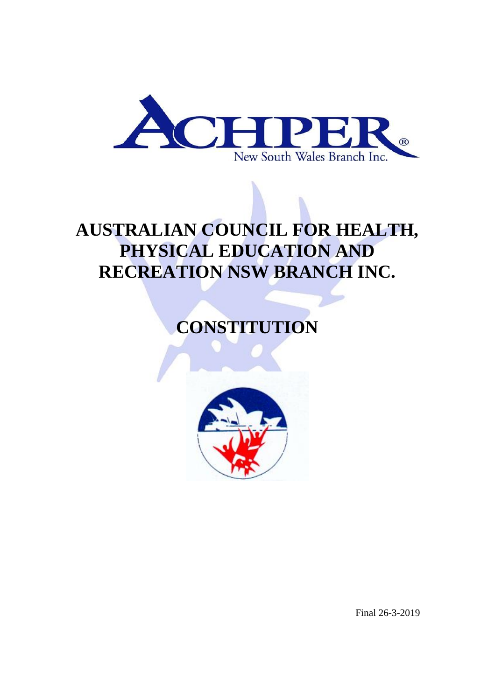

# **AUSTRALIAN COUNCIL FOR HEALTH, PHYSICAL EDUCATION AND RECREATION NSW BRANCH INC.**

**CONSTITUTION**



Final 26-3-2019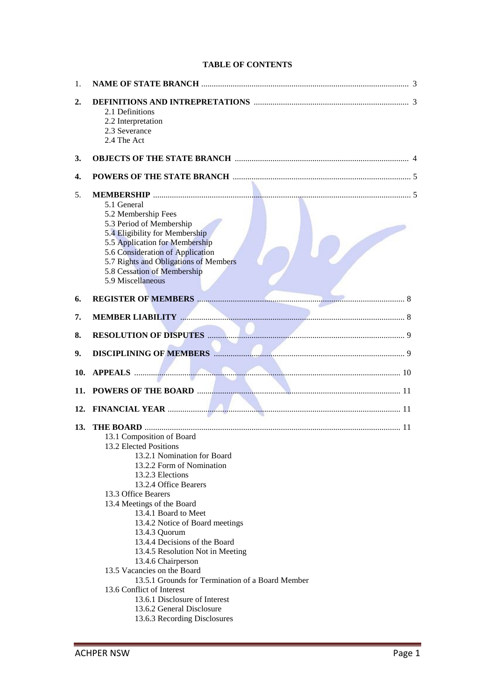| 1.  |                                                                                                                                                                                                                                                                                                                                                                                                                                                                                                          |  |
|-----|----------------------------------------------------------------------------------------------------------------------------------------------------------------------------------------------------------------------------------------------------------------------------------------------------------------------------------------------------------------------------------------------------------------------------------------------------------------------------------------------------------|--|
| 2.  | 2.1 Definitions<br>2.2 Interpretation                                                                                                                                                                                                                                                                                                                                                                                                                                                                    |  |
|     | 2.3 Severance<br>2.4 The Act                                                                                                                                                                                                                                                                                                                                                                                                                                                                             |  |
| 3.  |                                                                                                                                                                                                                                                                                                                                                                                                                                                                                                          |  |
| 4.  |                                                                                                                                                                                                                                                                                                                                                                                                                                                                                                          |  |
| 5.  | 5.1 General<br>5.2 Membership Fees<br>5.3 Period of Membership<br>5.4 Eligibility for Membership<br>5.5 Application for Membership                                                                                                                                                                                                                                                                                                                                                                       |  |
|     | 5.6 Consideration of Application<br>5.7 Rights and Obligations of Members<br>5.8 Cessation of Membership<br>5.9 Miscellaneous                                                                                                                                                                                                                                                                                                                                                                            |  |
| 6.  |                                                                                                                                                                                                                                                                                                                                                                                                                                                                                                          |  |
| 7.  |                                                                                                                                                                                                                                                                                                                                                                                                                                                                                                          |  |
| 8.  |                                                                                                                                                                                                                                                                                                                                                                                                                                                                                                          |  |
| 9.  | <b>DISCIPLINING OF MEMBERS Example 2016</b> 2017 2018 2019 2018                                                                                                                                                                                                                                                                                                                                                                                                                                          |  |
| 10. | <b>APPEALS</b> 10                                                                                                                                                                                                                                                                                                                                                                                                                                                                                        |  |
| 11. |                                                                                                                                                                                                                                                                                                                                                                                                                                                                                                          |  |
| 12. |                                                                                                                                                                                                                                                                                                                                                                                                                                                                                                          |  |
| 13. | 13.1 Composition of Board<br>13.2 Elected Positions<br>13.2.1 Nomination for Board<br>13.2.2 Form of Nomination<br>13.2.3 Elections<br>13.2.4 Office Bearers<br>13.3 Office Bearers<br>13.4 Meetings of the Board<br>13.4.1 Board to Meet<br>13.4.2 Notice of Board meetings<br>13.4.3 Quorum<br>13.4.4 Decisions of the Board<br>13.4.5 Resolution Not in Meeting<br>13.4.6 Chairperson<br>13.5 Vacancies on the Board<br>13.5.1 Grounds for Termination of a Board Member<br>13.6 Conflict of Interest |  |
|     | 13.6.1 Disclosure of Interest<br>13.6.2 General Disclosure<br>13.6.3 Recording Disclosures                                                                                                                                                                                                                                                                                                                                                                                                               |  |

# **TABLE OF CONTENTS**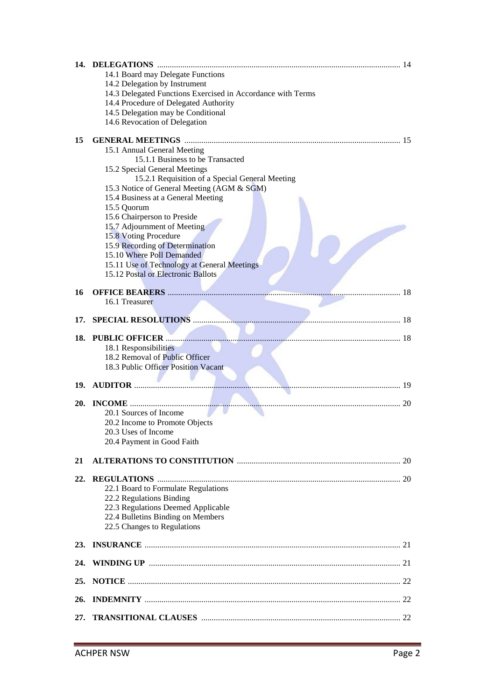|            | 14.1 Board may Delegate Functions                                        |    |
|------------|--------------------------------------------------------------------------|----|
|            | 14.2 Delegation by Instrument                                            |    |
|            | 14.3 Delegated Functions Exercised in Accordance with Terms              |    |
|            | 14.4 Procedure of Delegated Authority                                    |    |
|            | 14.5 Delegation may be Conditional                                       |    |
|            | 14.6 Revocation of Delegation                                            |    |
| 15         |                                                                          |    |
|            | 15.1 Annual General Meeting                                              |    |
|            | 15.1.1 Business to be Transacted                                         |    |
|            | 15.2 Special General Meetings                                            |    |
|            | 15.2.1 Requisition of a Special General Meeting                          |    |
|            | 15.3 Notice of General Meeting (AGM & SGM)                               |    |
|            | 15.4 Business at a General Meeting                                       |    |
|            | 15.5 Quorum                                                              |    |
|            | 15.6 Chairperson to Preside                                              |    |
|            | 15.7 Adjournment of Meeting                                              |    |
|            | 15.8 Voting Procedure                                                    |    |
|            | 15.9 Recording of Determination                                          |    |
|            | 15.10 Where Poll Demanded<br>15.11 Use of Technology at General Meetings |    |
|            | 15.12 Postal or Electronic Ballots                                       |    |
|            |                                                                          |    |
| 16         | <b>OFFICE BEARERS </b>                                                   | 18 |
|            | 16.1 Treasurer                                                           |    |
|            |                                                                          |    |
| 17.        |                                                                          |    |
| 18.        |                                                                          |    |
|            | 18.1 Responsibilities                                                    |    |
|            | 18.2 Removal of Public Officer                                           |    |
|            | 18.3 Public Officer Position Vacant                                      |    |
|            |                                                                          |    |
| 19.        |                                                                          |    |
| <b>20.</b> |                                                                          |    |
|            | 20.1 Sources of Income                                                   |    |
|            | 20.2 Income to Promote Objects                                           |    |
|            | 20.3 Uses of Income                                                      |    |
|            | 20.4 Payment in Good Faith                                               |    |
|            |                                                                          |    |
| 21         |                                                                          |    |
|            |                                                                          |    |
| 22.        |                                                                          |    |
|            | 22.1 Board to Formulate Regulations                                      |    |
|            | 22.2 Regulations Binding<br>22.3 Regulations Deemed Applicable           |    |
|            | 22.4 Bulletins Binding on Members                                        |    |
|            | 22.5 Changes to Regulations                                              |    |
|            |                                                                          |    |
|            |                                                                          |    |
| 24.        |                                                                          |    |
|            |                                                                          |    |
| 25.        |                                                                          |    |
|            |                                                                          |    |
| 26.        |                                                                          |    |
| 27.        |                                                                          |    |
|            |                                                                          |    |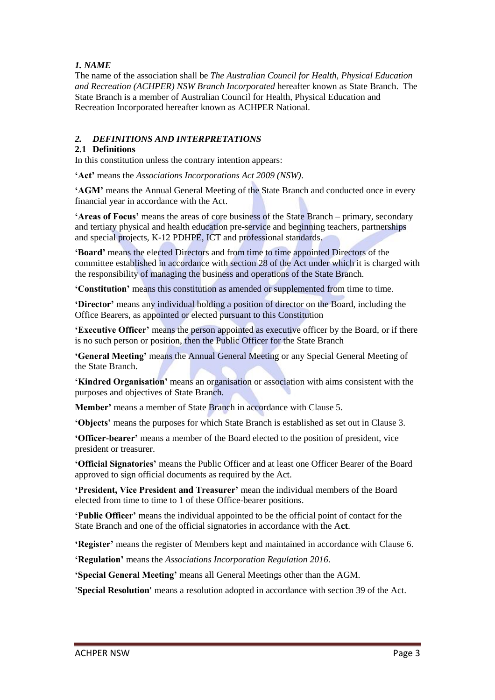# *1. NAME*

The name of the association shall be *The Australian Council for Health, Physical Education and Recreation (ACHPER) NSW Branch Incorporated* hereafter known as State Branch. The State Branch is a member of Australian Council for Health, Physical Education and Recreation Incorporated hereafter known as ACHPER National.

# *2. DEFINITIONS AND INTERPRETATIONS*

## **2.1 Definitions**

In this constitution unless the contrary intention appears:

**'Act'** means the *Associations Incorporations Act 2009 (NSW)*.

**'AGM'** means the Annual General Meeting of the State Branch and conducted once in every financial year in accordance with the Act.

**'Areas of Focus'** means the areas of core business of the State Branch – primary, secondary and tertiary physical and health education pre-service and beginning teachers, partnerships and special projects, K-12 PDHPE, ICT and professional standards.

**'Board'** means the elected Directors and from time to time appointed Directors of the committee established in accordance with section 28 of the Act under which it is charged with the responsibility of managing the business and operations of the State Branch.

**'Constitution'** means this constitution as amended or supplemented from time to time.

**'Director'** means any individual holding a position of director on the Board, including the Office Bearers, as appointed or elected pursuant to this Constitution

**'Executive Officer'** means the person appointed as executive officer by the Board, or if there is no such person or position, then the Public Officer for the State Branch

**'General Meeting'** means the Annual General Meeting or any Special General Meeting of the State Branch.

**'Kindred Organisation'** means an organisation or association with aims consistent with the purposes and objectives of State Branch.

**Member'** means a member of State Branch in accordance with Clause 5.

**'Objects'** means the purposes for which State Branch is established as set out in Clause 3.

**'Officer-bearer'** means a member of the Board elected to the position of president, vice president or treasurer.

**'Official Signatories'** means the Public Officer and at least one Officer Bearer of the Board approved to sign official documents as required by the Act.

**'President, Vice President and Treasurer'** mean the individual members of the Board elected from time to time to 1 of these Office-bearer positions.

**'Public Officer'** means the individual appointed to be the official point of contact for the State Branch and one of the official signatories in accordance with the A**ct**.

**'Register'** means the register of Members kept and maintained in accordance with Clause 6.

**'Regulation'** means the *Associations Incorporation Regulation 2016*.

**'Special General Meeting'** means all General Meetings other than the AGM.

**'Special Resolution'** means a resolution adopted in accordance with section 39 of the Act.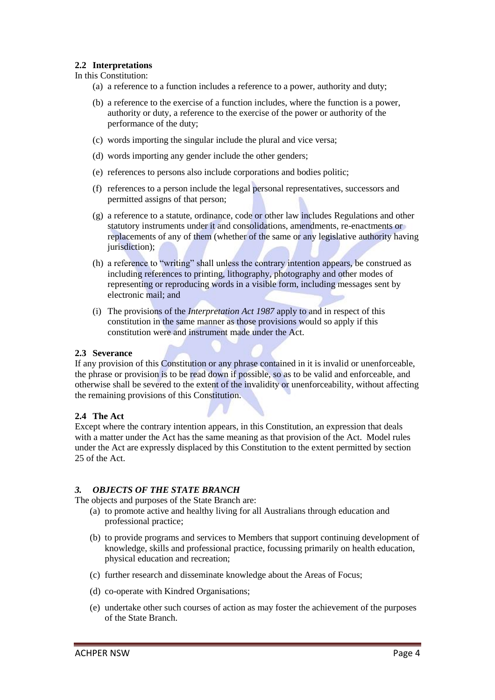## **2.2 Interpretations**

In this Constitution:

- (a) a reference to a function includes a reference to a power, authority and duty;
- (b) a reference to the exercise of a function includes, where the function is a power, authority or duty, a reference to the exercise of the power or authority of the performance of the duty;
- (c) words importing the singular include the plural and vice versa;
- (d) words importing any gender include the other genders;
- (e) references to persons also include corporations and bodies politic;
- (f) references to a person include the legal personal representatives, successors and permitted assigns of that person;
- (g) a reference to a statute, ordinance, code or other law includes Regulations and other statutory instruments under it and consolidations, amendments, re-enactments or replacements of any of them (whether of the same or any legislative authority having jurisdiction);
- (h) a reference to "writing" shall unless the contrary intention appears, be construed as including references to printing, lithography, photography and other modes of representing or reproducing words in a visible form, including messages sent by electronic mail; and
- (i) The provisions of the *Interpretation Act 1987* apply to and in respect of this constitution in the same manner as those provisions would so apply if this constitution were and instrument made under the Act.

#### **2.3 Severance**

If any provision of this Constitution or any phrase contained in it is invalid or unenforceable, the phrase or provision is to be read down if possible, so as to be valid and enforceable, and otherwise shall be severed to the extent of the invalidity or unenforceability, without affecting the remaining provisions of this Constitution.

#### **2.4 The Act**

Except where the contrary intention appears, in this Constitution, an expression that deals with a matter under the Act has the same meaning as that provision of the Act. Model rules under the Act are expressly displaced by this Constitution to the extent permitted by section 25 of the Act.

#### *3. OBJECTS OF THE STATE BRANCH*

The objects and purposes of the State Branch are:

- (a) to promote active and healthy living for all Australians through education and professional practice;
- (b) to provide programs and services to Members that support continuing development of knowledge, skills and professional practice, focussing primarily on health education, physical education and recreation;
- (c) further research and disseminate knowledge about the Areas of Focus;
- (d) co-operate with Kindred Organisations;
- (e) undertake other such courses of action as may foster the achievement of the purposes of the State Branch.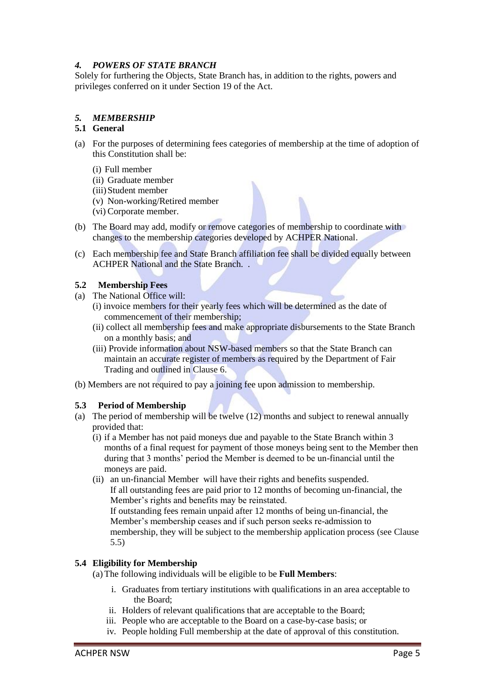# *4. POWERS OF STATE BRANCH*

Solely for furthering the Objects, State Branch has, in addition to the rights, powers and privileges conferred on it under Section 19 of the Act.

# *5. MEMBERSHIP*

## **5.1 General**

- (a) For the purposes of determining fees categories of membership at the time of adoption of this Constitution shall be:
	- (i) Full member
	- (ii) Graduate member
	- (iii)Student member
	- (v) Non-working/Retired member
	- (vi) Corporate member.
- (b) The Board may add, modify or remove categories of membership to coordinate with changes to the membership categories developed by ACHPER National.
- (c) Each membership fee and State Branch affiliation fee shall be divided equally between ACHPER National and the State Branch. .

## **5.2 Membership Fees**

- (a) The National Office will:
	- (i) invoice members for their yearly fees which will be determined as the date of commencement of their membership;
	- (ii) collect all membership fees and make appropriate disbursements to the State Branch on a monthly basis; and
	- (iii) Provide information about NSW-based members so that the State Branch can maintain an accurate register of members as required by the Department of Fair Trading and outlined in Clause 6.
- (b) Members are not required to pay a joining fee upon admission to membership.

#### **5.3 Period of Membership**

- (a) The period of membership will be twelve (12) months and subject to renewal annually provided that:
	- (i) if a Member has not paid moneys due and payable to the State Branch within 3 months of a final request for payment of those moneys being sent to the Member then during that 3 months' period the Member is deemed to be un-financial until the moneys are paid.
	- (ii) an un-financial Member will have their rights and benefits suspended. If all outstanding fees are paid prior to 12 months of becoming un-financial, the Member's rights and benefits may be reinstated. If outstanding fees remain unpaid after 12 months of being un-financial, the Member's membership ceases and if such person seeks re-admission to membership, they will be subject to the membership application process (see Clause 5.5)

#### **5.4 Eligibility for Membership**

- (a) The following individuals will be eligible to be **Full Members**:
	- i. Graduates from tertiary institutions with qualifications in an area acceptable to the Board;
	- ii. Holders of relevant qualifications that are acceptable to the Board;
	- iii. People who are acceptable to the Board on a case-by-case basis; or
	- iv. People holding Full membership at the date of approval of this constitution.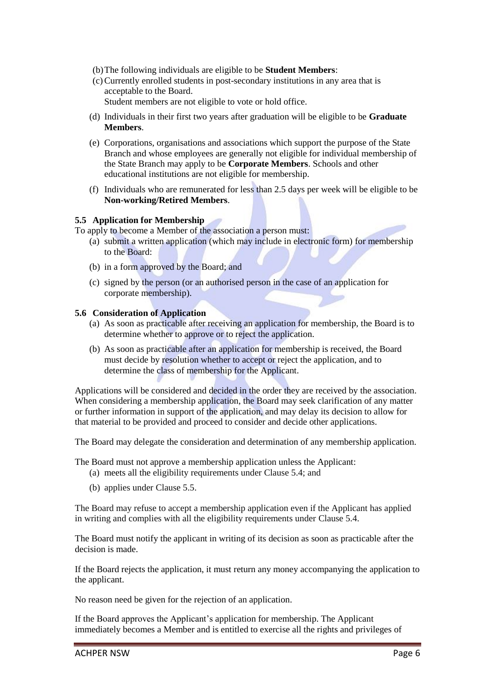- (b)The following individuals are eligible to be **Student Members**:
- (c)Currently enrolled students in post-secondary institutions in any area that is acceptable to the Board.

Student members are not eligible to vote or hold office.

- (d) Individuals in their first two years after graduation will be eligible to be **Graduate Members**.
- (e) Corporations, organisations and associations which support the purpose of the State Branch and whose employees are generally not eligible for individual membership of the State Branch may apply to be **Corporate Members**. Schools and other educational institutions are not eligible for membership.
- (f) Individuals who are remunerated for less than 2.5 days per week will be eligible to be **Non-working/Retired Members**.

#### **5.5 Application for Membership**

- To apply to become a Member of the association a person must:
	- (a) submit a written application (which may include in electronic form) for membership to the Board:
	- (b) in a form approved by the Board; and
	- (c) signed by the person (or an authorised person in the case of an application for corporate membership).

#### **5.6 Consideration of Application**

- (a) As soon as practicable after receiving an application for membership, the Board is to determine whether to approve or to reject the application.
- (b) As soon as practicable after an application for membership is received, the Board must decide by resolution whether to accept or reject the application, and to determine the class of membership for the Applicant.

Applications will be considered and decided in the order they are received by the association. When considering a membership application, the Board may seek clarification of any matter or further information in support of the application, and may delay its decision to allow for that material to be provided and proceed to consider and decide other applications.

The Board may delegate the consideration and determination of any membership application.

The Board must not approve a membership application unless the Applicant:

- (a) meets all the eligibility requirements under Clause 5.4; and
- (b) applies under Clause 5.5.

The Board may refuse to accept a membership application even if the Applicant has applied in writing and complies with all the eligibility requirements under Clause 5.4.

The Board must notify the applicant in writing of its decision as soon as practicable after the decision is made.

If the Board rejects the application, it must return any money accompanying the application to the applicant.

No reason need be given for the rejection of an application.

If the Board approves the Applicant's application for membership. The Applicant immediately becomes a Member and is entitled to exercise all the rights and privileges of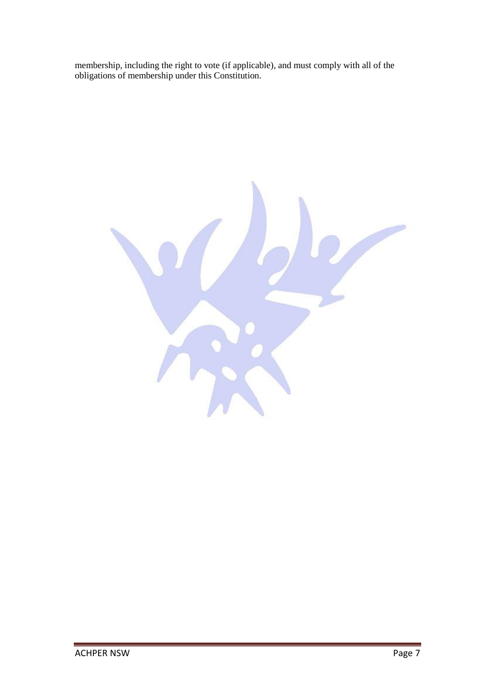membership, including the right to vote (if applicable), and must comply with all of the obligations of membership under this Constitution.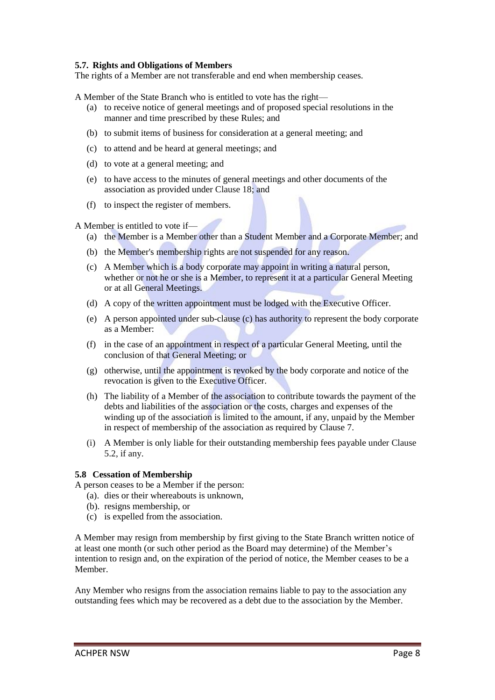## **5.7. Rights and Obligations of Members**

The rights of a Member are not transferable and end when membership ceases.

A Member of the State Branch who is entitled to vote has the right—

- (a) to receive notice of general meetings and of proposed special resolutions in the manner and time prescribed by these Rules; and
- (b) to submit items of business for consideration at a general meeting; and
- (c) to attend and be heard at general meetings; and
- (d) to vote at a general meeting; and
- (e) to have access to the minutes of general meetings and other documents of the association as provided under Clause 18; and
- (f) to inspect the register of members.

A Member is entitled to vote if—

- (a) the Member is a Member other than a Student Member and a Corporate Member; and
- (b) the Member's membership rights are not suspended for any reason.
- (c) A Member which is a body corporate may appoint in writing a natural person, whether or not he or she is a Member, to represent it at a particular General Meeting or at all General Meetings.
- (d) A copy of the written appointment must be lodged with the Executive Officer.
- (e) A person appointed under sub-clause (c) has authority to represent the body corporate as a Member:
- (f) in the case of an appointment in respect of a particular General Meeting, until the conclusion of that General Meeting; or
- (g) otherwise, until the appointment is revoked by the body corporate and notice of the revocation is given to the Executive Officer.
- (h) The liability of a Member of the association to contribute towards the payment of the debts and liabilities of the association or the costs, charges and expenses of the winding up of the association is limited to the amount, if any, unpaid by the Member in respect of membership of the association as required by Clause 7.
- (i) A Member is only liable for their outstanding membership fees payable under Clause 5.2, if any.

#### **5.8 Cessation of Membership**

A person ceases to be a Member if the person:

- (a). dies or their whereabouts is unknown,
- (b). resigns membership, or
- (c) is expelled from the association.

A Member may resign from membership by first giving to the State Branch written notice of at least one month (or such other period as the Board may determine) of the Member's intention to resign and, on the expiration of the period of notice, the Member ceases to be a Member.

Any Member who resigns from the association remains liable to pay to the association any outstanding fees which may be recovered as a debt due to the association by the Member.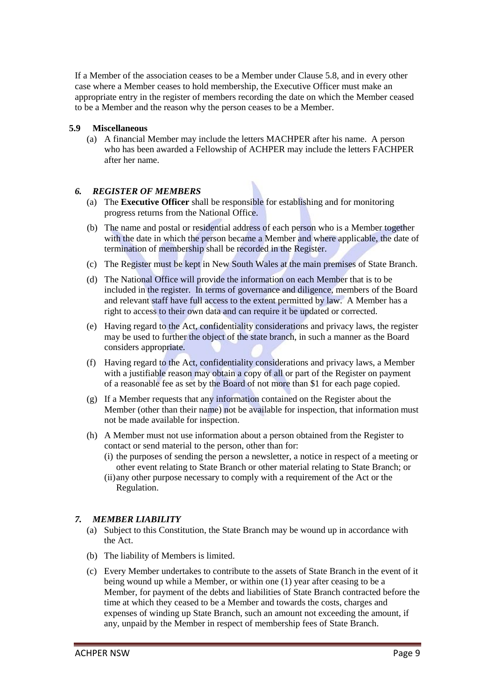If a Member of the association ceases to be a Member under Clause 5.8, and in every other case where a Member ceases to hold membership, the Executive Officer must make an appropriate entry in the register of members recording the date on which the Member ceased to be a Member and the reason why the person ceases to be a Member.

## **5.9 Miscellaneous**

(a) A financial Member may include the letters MACHPER after his name. A person who has been awarded a Fellowship of ACHPER may include the letters FACHPER after her name.

# *6. REGISTER OF MEMBERS*

- (a) The **Executive Officer** shall be responsible for establishing and for monitoring progress returns from the National Office.
- (b) The name and postal or residential address of each person who is a Member together with the date in which the person became a Member and where applicable, the date of termination of membership shall be recorded in the Register.
- (c) The Register must be kept in New South Wales at the main premises of State Branch.
- (d) The National Office will provide the information on each Member that is to be included in the register. In terms of governance and diligence, members of the Board and relevant staff have full access to the extent permitted by law. A Member has a right to access to their own data and can require it be updated or corrected.
- (e) Having regard to the Act, confidentiality considerations and privacy laws, the register may be used to further the object of the state branch, in such a manner as the Board considers appropriate.
- (f) Having regard to the Act, confidentiality considerations and privacy laws, a Member with a justifiable reason may obtain a copy of all or part of the Register on payment of a reasonable fee as set by the Board of not more than \$1 for each page copied.
- (g) If a Member requests that any information contained on the Register about the Member (other than their name) not be available for inspection, that information must not be made available for inspection.
- (h) A Member must not use information about a person obtained from the Register to contact or send material to the person, other than for:
	- (i) the purposes of sending the person a newsletter, a notice in respect of a meeting or other event relating to State Branch or other material relating to State Branch; or
	- (ii)any other purpose necessary to comply with a requirement of the Act or the Regulation.

# *7. MEMBER LIABILITY*

- (a) Subject to this Constitution, the State Branch may be wound up in accordance with the Act.
- (b) The liability of Members is limited.
- (c) Every Member undertakes to contribute to the assets of State Branch in the event of it being wound up while a Member, or within one (1) year after ceasing to be a Member, for payment of the debts and liabilities of State Branch contracted before the time at which they ceased to be a Member and towards the costs, charges and expenses of winding up State Branch, such an amount not exceeding the amount, if any, unpaid by the Member in respect of membership fees of State Branch.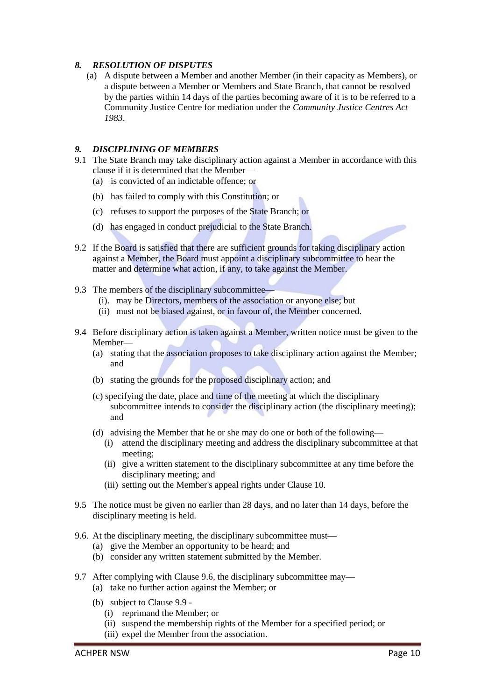## *8. RESOLUTION OF DISPUTES*

(a) A dispute between a Member and another Member (in their capacity as Members), or a dispute between a Member or Members and State Branch, that cannot be resolved by the parties within 14 days of the parties becoming aware of it is to be referred to a Community Justice Centre for mediation under the *Community Justice Centres Act 1983*.

#### *9. DISCIPLINING OF MEMBERS*

- 9.1 The State Branch may take disciplinary action against a Member in accordance with this clause if it is determined that the Member—
	- (a) is convicted of an indictable offence; or
	- (b) has failed to comply with this Constitution; or
	- (c) refuses to support the purposes of the State Branch; or
	- (d) has engaged in conduct prejudicial to the State Branch.
- 9.2 If the Board is satisfied that there are sufficient grounds for taking disciplinary action against a Member, the Board must appoint a disciplinary subcommittee to hear the matter and determine what action, if any, to take against the Member.
- 9.3 The members of the disciplinary subcommittee—
	- (i). may be Directors, members of the association or anyone else; but
	- (ii) must not be biased against, or in favour of, the Member concerned.
- 9.4 Before disciplinary action is taken against a Member, written notice must be given to the Member—
	- (a) stating that the association proposes to take disciplinary action against the Member; and
	- (b) stating the grounds for the proposed disciplinary action; and
	- (c) specifying the date, place and time of the meeting at which the disciplinary subcommittee intends to consider the disciplinary action (the disciplinary meeting); and
	- (d) advising the Member that he or she may do one or both of the following—
		- (i) attend the disciplinary meeting and address the disciplinary subcommittee at that meeting;
		- (ii) give a written statement to the disciplinary subcommittee at any time before the disciplinary meeting; and
		- (iii) setting out the Member's appeal rights under Clause 10.
- 9.5 The notice must be given no earlier than 28 days, and no later than 14 days, before the disciplinary meeting is held.
- 9.6. At the disciplinary meeting, the disciplinary subcommittee must—
	- (a) give the Member an opportunity to be heard; and
	- (b) consider any written statement submitted by the Member.
- 9.7 After complying with Clause 9.6, the disciplinary subcommittee may—
	- (a) take no further action against the Member; or
	- (b) subject to Clause 9.9
		- (i) reprimand the Member; or
		- (ii) suspend the membership rights of the Member for a specified period; or
		- (iii) expel the Member from the association.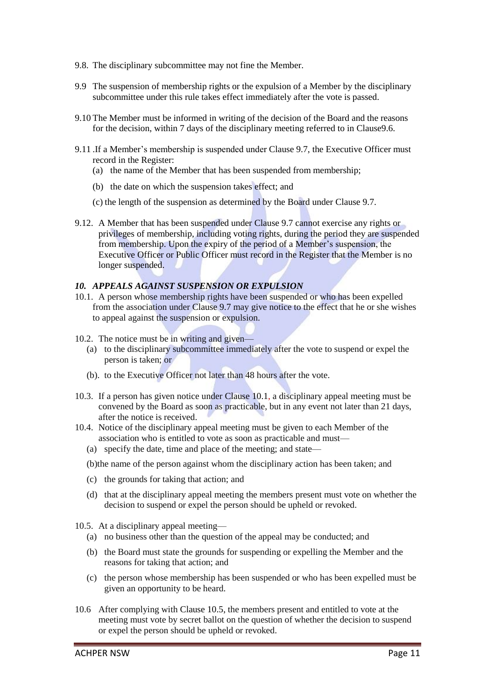- 9.8. The disciplinary subcommittee may not fine the Member.
- 9.9 The suspension of membership rights or the expulsion of a Member by the disciplinary subcommittee under this rule takes effect immediately after the vote is passed.
- 9.10 The Member must be informed in writing of the decision of the Board and the reasons for the decision, within 7 days of the disciplinary meeting referred to in Clause9.6.
- 9.11 .If a Member's membership is suspended under Clause 9.7, the Executive Officer must record in the Register:
	- (a) the name of the Member that has been suspended from membership;
	- (b) the date on which the suspension takes effect; and
	- (c) the length of the suspension as determined by the Board under Clause 9.7.
- 9.12. A Member that has been suspended under Clause 9.7 cannot exercise any rights or privileges of membership, including voting rights, during the period they are suspended from membership. Upon the expiry of the period of a Member's suspension, the Executive Officer or Public Officer must record in the Register that the Member is no longer suspended.

#### *10. APPEALS AGAINST SUSPENSION OR EXPULSION*

- 10.1. A person whose membership rights have been suspended or who has been expelled from the association under Clause 9.7 may give notice to the effect that he or she wishes to appeal against the suspension or expulsion.
- 10.2. The notice must be in writing and given—
	- (a) to the disciplinary subcommittee immediately after the vote to suspend or expel the person is taken; or
	- (b). to the Executive Officer not later than 48 hours after the vote.
- 10.3. If a person has given notice under Clause 10.1, a disciplinary appeal meeting must be convened by the Board as soon as practicable, but in any event not later than 21 days, after the notice is received.
- 10.4. Notice of the disciplinary appeal meeting must be given to each Member of the association who is entitled to vote as soon as practicable and must—
	- (a) specify the date, time and place of the meeting; and state—
	- (b)the name of the person against whom the disciplinary action has been taken; and
	- (c) the grounds for taking that action; and
	- (d) that at the disciplinary appeal meeting the members present must vote on whether the decision to suspend or expel the person should be upheld or revoked.
- 10.5. At a disciplinary appeal meeting—
	- (a) no business other than the question of the appeal may be conducted; and
	- (b) the Board must state the grounds for suspending or expelling the Member and the reasons for taking that action; and
	- (c) the person whose membership has been suspended or who has been expelled must be given an opportunity to be heard.
- 10.6 After complying with Clause 10.5, the members present and entitled to vote at the meeting must vote by secret ballot on the question of whether the decision to suspend or expel the person should be upheld or revoked.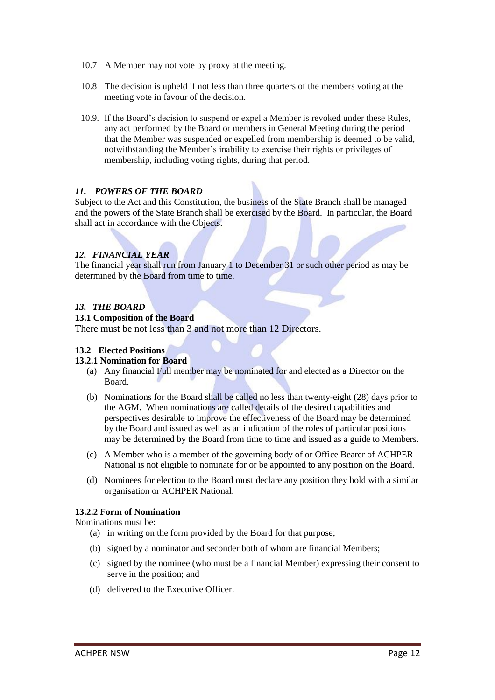- 10.7 A Member may not vote by proxy at the meeting.
- 10.8 The decision is upheld if not less than three quarters of the members voting at the meeting vote in favour of the decision.
- 10.9. If the Board's decision to suspend or expel a Member is revoked under these Rules, any act performed by the Board or members in General Meeting during the period that the Member was suspended or expelled from membership is deemed to be valid, notwithstanding the Member's inability to exercise their rights or privileges of membership, including voting rights, during that period.

## *11. POWERS OF THE BOARD*

Subject to the Act and this Constitution, the business of the State Branch shall be managed and the powers of the State Branch shall be exercised by the Board. In particular, the Board shall act in accordance with the Objects.

# *12. FINANCIAL YEAR*

The financial year shall run from January 1 to December 31 or such other period as may be determined by the Board from time to time.

# *13. THE BOARD*

## **13.1 Composition of the Board**

There must be not less than 3 and not more than 12 Directors.

# **13.2 Elected Positions**

#### **13.2.1 Nomination for Board**

- (a) Any financial Full member may be nominated for and elected as a Director on the Board.
- (b) Nominations for the Board shall be called no less than twenty-eight (28) days prior to the AGM. When nominations are called details of the desired capabilities and perspectives desirable to improve the effectiveness of the Board may be determined by the Board and issued as well as an indication of the roles of particular positions may be determined by the Board from time to time and issued as a guide to Members.
- (c) A Member who is a member of the governing body of or Office Bearer of ACHPER National is not eligible to nominate for or be appointed to any position on the Board.
- (d) Nominees for election to the Board must declare any position they hold with a similar organisation or ACHPER National.

#### **13.2.2 Form of Nomination**

Nominations must be:

- (a) in writing on the form provided by the Board for that purpose;
- (b) signed by a nominator and seconder both of whom are financial Members;
- (c) signed by the nominee (who must be a financial Member) expressing their consent to serve in the position; and
- (d) delivered to the Executive Officer.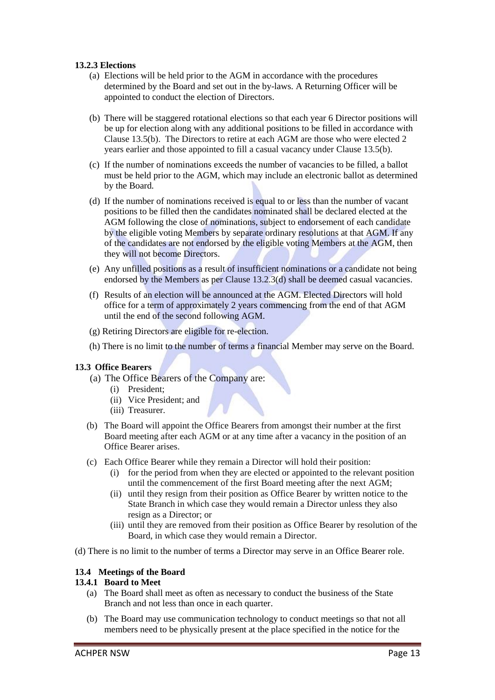## **13.2.3 Elections**

- (a) Elections will be held prior to the AGM in accordance with the procedures determined by the Board and set out in the by-laws. A Returning Officer will be appointed to conduct the election of Directors.
- (b) There will be staggered rotational elections so that each year 6 Director positions will be up for election along with any additional positions to be filled in accordance with Clause 13.5(b). The Directors to retire at each AGM are those who were elected 2 years earlier and those appointed to fill a casual vacancy under Clause 13.5(b).
- (c) If the number of nominations exceeds the number of vacancies to be filled, a ballot must be held prior to the AGM, which may include an electronic ballot as determined by the Board.
- (d) If the number of nominations received is equal to or less than the number of vacant positions to be filled then the candidates nominated shall be declared elected at the AGM following the close of nominations, subject to endorsement of each candidate by the eligible voting Members by separate ordinary resolutions at that AGM. If any of the candidates are not endorsed by the eligible voting Members at the AGM, then they will not become Directors.
- (e) Any unfilled positions as a result of insufficient nominations or a candidate not being endorsed by the Members as per Clause 13.2.3(d) shall be deemed casual vacancies.
- (f) Results of an election will be announced at the AGM. Elected Directors will hold office for a term of approximately 2 years commencing from the end of that AGM until the end of the second following AGM.
- (g) Retiring Directors are eligible for re-election.
- (h) There is no limit to the number of terms a financial Member may serve on the Board.

#### **13.3 Office Bearers**

- (a) The Office Bearers of the Company are:
	- (i) President;
	- (ii) Vice President; and
	- (iii) Treasurer.
- (b) The Board will appoint the Office Bearers from amongst their number at the first Board meeting after each AGM or at any time after a vacancy in the position of an Office Bearer arises.
- (c) Each Office Bearer while they remain a Director will hold their position:
	- (i) for the period from when they are elected or appointed to the relevant position until the commencement of the first Board meeting after the next AGM;
	- (ii) until they resign from their position as Office Bearer by written notice to the State Branch in which case they would remain a Director unless they also resign as a Director; or
	- (iii) until they are removed from their position as Office Bearer by resolution of the Board, in which case they would remain a Director.
- (d) There is no limit to the number of terms a Director may serve in an Office Bearer role.

#### **13.4 Meetings of the Board**

# **13.4.1 Board to Meet**

- (a) The Board shall meet as often as necessary to conduct the business of the State Branch and not less than once in each quarter.
- (b) The Board may use communication technology to conduct meetings so that not all members need to be physically present at the place specified in the notice for the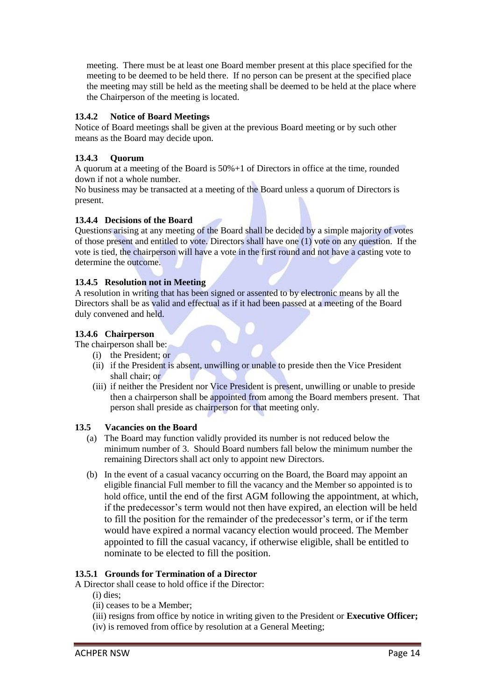meeting. There must be at least one Board member present at this place specified for the meeting to be deemed to be held there. If no person can be present at the specified place the meeting may still be held as the meeting shall be deemed to be held at the place where the Chairperson of the meeting is located.

# **13.4.2 Notice of Board Meetings**

Notice of Board meetings shall be given at the previous Board meeting or by such other means as the Board may decide upon.

# **13.4.3 Quorum**

A quorum at a meeting of the Board is 50%+1 of Directors in office at the time, rounded down if not a whole number.

No business may be transacted at a meeting of the Board unless a quorum of Directors is present.

# **13.4.4 Decisions of the Board**

Questions arising at any meeting of the Board shall be decided by a simple majority of votes of those present and entitled to vote. Directors shall have one (1) vote on any question. If the vote is tied, the chairperson will have a vote in the first round and not have a casting vote to determine the outcome.

# **13.4.5 Resolution not in Meeting**

A resolution in writing that has been signed or assented to by electronic means by all the Directors shall be as valid and effectual as if it had been passed at a meeting of the Board duly convened and held.

# **13.4.6 Chairperson**

The chairperson shall be:

- (i) the President; or
- (ii) if the President is absent, unwilling or unable to preside then the Vice President shall chair; or
- (iii) if neither the President nor Vice President is present, unwilling or unable to preside then a chairperson shall be appointed from among the Board members present. That person shall preside as chairperson for that meeting only.

# **13.5 Vacancies on the Board**

- (a) The Board may function validly provided its number is not reduced below the minimum number of 3. Should Board numbers fall below the minimum number the remaining Directors shall act only to appoint new Directors.
- (b) In the event of a casual vacancy occurring on the Board, the Board may appoint an eligible financial Full member to fill the vacancy and the Member so appointed is to hold office, until the end of the first AGM following the appointment, at which, if the predecessor's term would not then have expired, an election will be held to fill the position for the remainder of the predecessor's term, or if the term would have expired a normal vacancy election would proceed. The Member appointed to fill the casual vacancy, if otherwise eligible, shall be entitled to nominate to be elected to fill the position.

# **13.5.1 Grounds for Termination of a Director**

A Director shall cease to hold office if the Director:

- (i) dies;
- (ii) ceases to be a Member;
- (iii) resigns from office by notice in writing given to the President or **Executive Officer;**
- (iv) is removed from office by resolution at a General Meeting;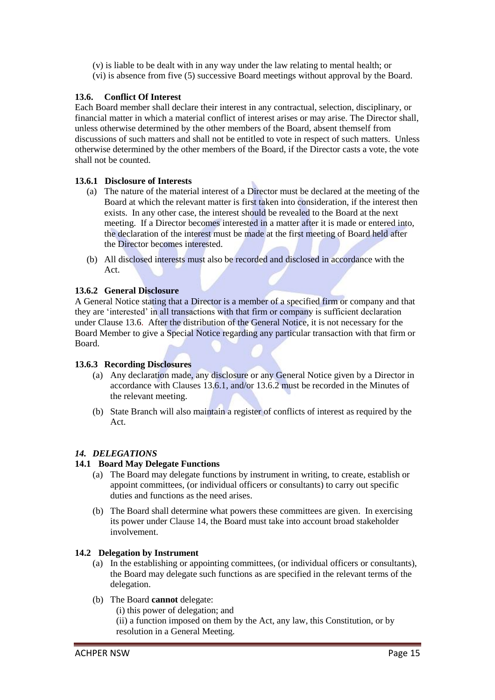(v) is liable to be dealt with in any way under the law relating to mental health; or (vi) is absence from five (5) successive Board meetings without approval by the Board.

# **13.6. Conflict Of Interest**

Each Board member shall declare their interest in any contractual, selection, disciplinary, or financial matter in which a material conflict of interest arises or may arise. The Director shall, unless otherwise determined by the other members of the Board, absent themself from discussions of such matters and shall not be entitled to vote in respect of such matters. Unless otherwise determined by the other members of the Board, if the Director casts a vote, the vote shall not be counted.

# **13.6.1 Disclosure of Interests**

- (a) The nature of the material interest of a Director must be declared at the meeting of the Board at which the relevant matter is first taken into consideration, if the interest then exists. In any other case, the interest should be revealed to the Board at the next meeting. If a Director becomes interested in a matter after it is made or entered into, the declaration of the interest must be made at the first meeting of Board held after the Director becomes interested.
- (b) All disclosed interests must also be recorded and disclosed in accordance with the Act.

# **13.6.2 General Disclosure**

A General Notice stating that a Director is a member of a specified firm or company and that they are 'interested' in all transactions with that firm or company is sufficient declaration under Clause 13.6. After the distribution of the General Notice, it is not necessary for the Board Member to give a Special Notice regarding any particular transaction with that firm or Board.

# **13.6.3 Recording Disclosures**

- (a) Any declaration made, any disclosure or any General Notice given by a Director in accordance with Clauses 13.6.1, and/or 13.6.2 must be recorded in the Minutes of the relevant meeting.
- (b) State Branch will also maintain a register of conflicts of interest as required by the Act.

# *14. DELEGATIONS*

# **14.1 Board May Delegate Functions**

- (a) The Board may delegate functions by instrument in writing, to create, establish or appoint committees, (or individual officers or consultants) to carry out specific duties and functions as the need arises.
- (b) The Board shall determine what powers these committees are given. In exercising its power under Clause 14, the Board must take into account broad stakeholder involvement.

#### **14.2 Delegation by Instrument**

- (a) In the establishing or appointing committees, (or individual officers or consultants), the Board may delegate such functions as are specified in the relevant terms of the delegation.
- (b) The Board **cannot** delegate:
	- (i) this power of delegation; and

(ii) a function imposed on them by the Act, any law, this Constitution, or by resolution in a General Meeting.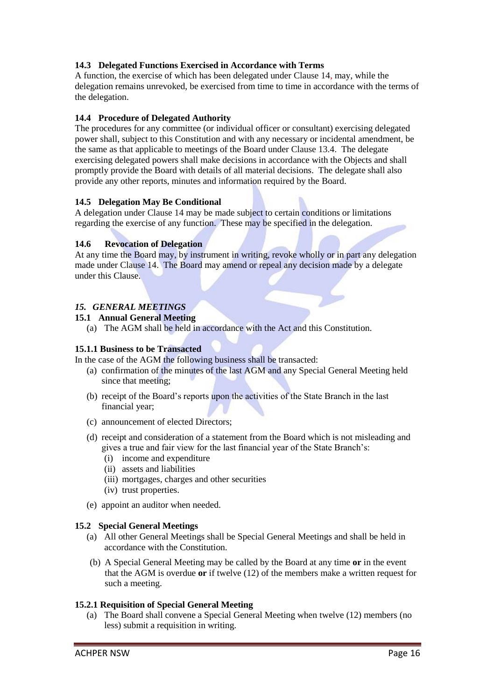# **14.3 Delegated Functions Exercised in Accordance with Terms**

A function, the exercise of which has been delegated under Clause 14, may, while the delegation remains unrevoked, be exercised from time to time in accordance with the terms of the delegation.

## **14.4 Procedure of Delegated Authority**

The procedures for any committee (or individual officer or consultant) exercising delegated power shall, subject to this Constitution and with any necessary or incidental amendment, be the same as that applicable to meetings of the Board under Clause 13.4. The delegate exercising delegated powers shall make decisions in accordance with the Objects and shall promptly provide the Board with details of all material decisions. The delegate shall also provide any other reports, minutes and information required by the Board.

## **14.5 Delegation May Be Conditional**

A delegation under Clause 14 may be made subject to certain conditions or limitations regarding the exercise of any function. These may be specified in the delegation.

## **14.6 Revocation of Delegation**

At any time the Board may, by instrument in writing, revoke wholly or in part any delegation made under Clause 14. The Board may amend or repeal any decision made by a delegate under this Clause.

# *15. GENERAL MEETINGS*

## **15.1 Annual General Meeting**

(a) The AGM shall be held in accordance with the Act and this Constitution.

#### **15.1.1 Business to be Transacted**

In the case of the AGM the following business shall be transacted:

- (a) confirmation of the minutes of the last AGM and any Special General Meeting held since that meeting;
- (b) receipt of the Board's reports upon the activities of the State Branch in the last financial year;
- (c) announcement of elected Directors;
- (d) receipt and consideration of a statement from the Board which is not misleading and gives a true and fair view for the last financial year of the State Branch's:
	- (i) income and expenditure
	- (ii) assets and liabilities
	- (iii) mortgages, charges and other securities
	- (iv) trust properties.
- (e) appoint an auditor when needed.

## **15.2 Special General Meetings**

- (a) All other General Meetings shall be Special General Meetings and shall be held in accordance with the Constitution.
- (b) A Special General Meeting may be called by the Board at any time **or** in the event that the AGM is overdue **or** if twelve (12) of the members make a written request for such a meeting.

#### **15.2.1 Requisition of Special General Meeting**

(a) The Board shall convene a Special General Meeting when twelve (12) members (no less) submit a requisition in writing.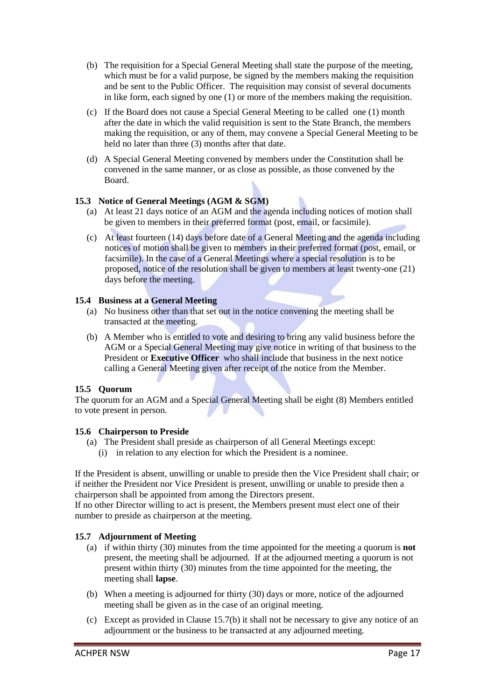- (b) The requisition for a Special General Meeting shall state the purpose of the meeting, which must be for a valid purpose, be signed by the members making the requisition and be sent to the Public Officer. The requisition may consist of several documents in like form, each signed by one (1) or more of the members making the requisition.
- (c) If the Board does not cause a Special General Meeting to be called one (1) month after the date in which the valid requisition is sent to the State Branch, the members making the requisition, or any of them, may convene a Special General Meeting to be held no later than three (3) months after that date.
- (d) A Special General Meeting convened by members under the Constitution shall be convened in the same manner, or as close as possible, as those convened by the Board.

# **15.3 Notice of General Meetings (AGM & SGM)**

- (a) At least 21 days notice of an AGM and the agenda including notices of motion shall be given to members in their preferred format (post, email, or facsimile).
- (c) At least fourteen (14) days before date of a General Meeting and the agenda including notices of motion shall be given to members in their preferred format (post, email, or facsimile). In the case of a General Meetings where a special resolution is to be proposed, notice of the resolution shall be given to members at least twenty-one (21) days before the meeting.

# **15.4 Business at a General Meeting**

- (a) No business other than that set out in the notice convening the meeting shall be transacted at the meeting.
- (b) A Member who is entitled to vote and desiring to bring any valid business before the AGM or a Special General Meeting may give notice in writing of that business to the President or **Executive Officer** who shall include that business in the next notice calling a General Meeting given after receipt of the notice from the Member.

# **15.5 Quorum**

The quorum for an AGM and a Special General Meeting shall be eight (8) Members entitled to vote present in person.

# **15.6 Chairperson to Preside**

- (a) The President shall preside as chairperson of all General Meetings except:
	- (i) in relation to any election for which the President is a nominee.

If the President is absent, unwilling or unable to preside then the Vice President shall chair; or if neither the President nor Vice President is present, unwilling or unable to preside then a chairperson shall be appointed from among the Directors present.

If no other Director willing to act is present, the Members present must elect one of their number to preside as chairperson at the meeting.

# **15.7 Adjournment of Meeting**

- (a) if within thirty (30) minutes from the time appointed for the meeting a quorum is **not** present, the meeting shall be adjourned. If at the adjourned meeting a quorum is not present within thirty (30) minutes from the time appointed for the meeting, the meeting shall **lapse**.
- (b) When a meeting is adjourned for thirty (30) days or more, notice of the adjourned meeting shall be given as in the case of an original meeting.
- (c) Except as provided in Clause 15.7(b) it shall not be necessary to give any notice of an adjournment or the business to be transacted at any adjourned meeting.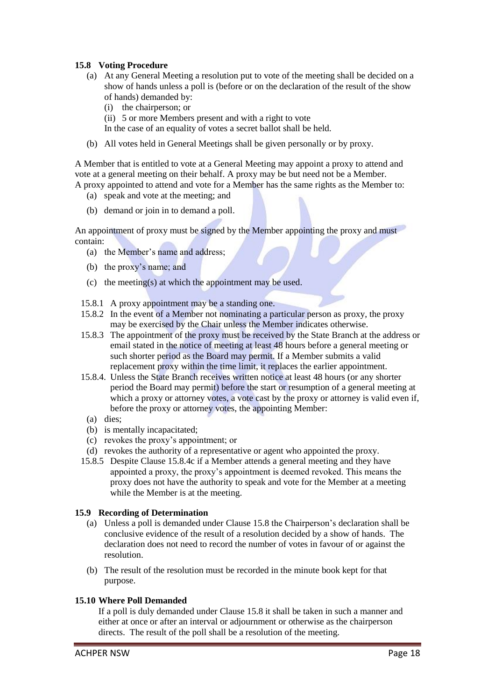## **15.8 Voting Procedure**

- (a) At any General Meeting a resolution put to vote of the meeting shall be decided on a show of hands unless a poll is (before or on the declaration of the result of the show of hands) demanded by:
	- (i) the chairperson; or
	- (ii) 5 or more Members present and with a right to vote
	- In the case of an equality of votes a secret ballot shall be held.
- (b) All votes held in General Meetings shall be given personally or by proxy.

A Member that is entitled to vote at a General Meeting may appoint a proxy to attend and vote at a general meeting on their behalf. A proxy may be but need not be a Member. A proxy appointed to attend and vote for a Member has the same rights as the Member to:

- (a) speak and vote at the meeting; and
- (b) demand or join in to demand a poll.

An appointment of proxy must be signed by the Member appointing the proxy and must contain:

- (a) the Member's name and address;
- (b) the proxy's name; and
- (c) the meeting(s) at which the appointment may be used.
- 15.8.1 A proxy appointment may be a standing one.
- 15.8.2 In the event of a Member not nominating a particular person as proxy, the proxy may be exercised by the Chair unless the Member indicates otherwise.
- 15.8.3 The appointment of the proxy must be received by the State Branch at the address or email stated in the notice of meeting at least 48 hours before a general meeting or such shorter period as the Board may permit. If a Member submits a valid replacement proxy within the time limit, it replaces the earlier appointment.
- 15.8.4. Unless the State Branch receives written notice at least 48 hours (or any shorter period the Board may permit) before the start or resumption of a general meeting at which a proxy or attorney votes, a vote cast by the proxy or attorney is valid even if, before the proxy or attorney votes, the appointing Member:
- (a) dies;
- (b) is mentally incapacitated;
- (c) revokes the proxy's appointment; or
- (d) revokes the authority of a representative or agent who appointed the proxy.
- 15.8.5 Despite Clause 15.8.4c if a Member attends a general meeting and they have appointed a proxy, the proxy's appointment is deemed revoked. This means the proxy does not have the authority to speak and vote for the Member at a meeting while the Member is at the meeting.

#### **15.9 Recording of Determination**

- (a) Unless a poll is demanded under Clause 15.8 the Chairperson's declaration shall be conclusive evidence of the result of a resolution decided by a show of hands. The declaration does not need to record the number of votes in favour of or against the resolution.
- (b) The result of the resolution must be recorded in the minute book kept for that purpose.

#### **15.10 Where Poll Demanded**

If a poll is duly demanded under Clause 15.8 it shall be taken in such a manner and either at once or after an interval or adjournment or otherwise as the chairperson directs. The result of the poll shall be a resolution of the meeting.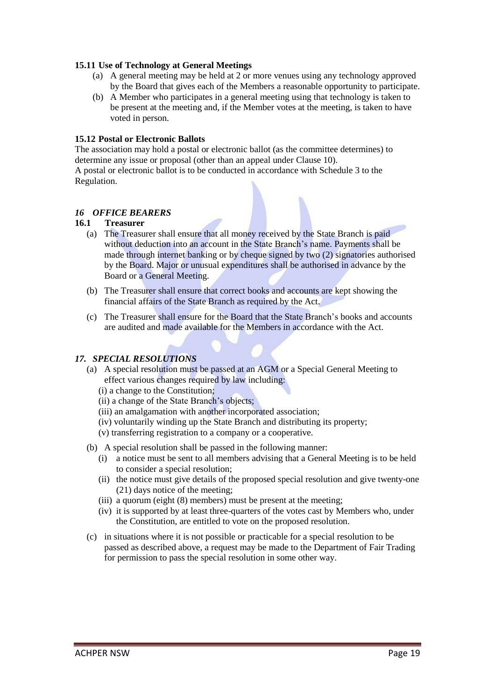#### **15.11 Use of Technology at General Meetings**

- (a) A general meeting may be held at 2 or more venues using any technology approved by the Board that gives each of the Members a reasonable opportunity to participate.
- (b) A Member who participates in a general meeting using that technology is taken to be present at the meeting and, if the Member votes at the meeting, is taken to have voted in person.

## **15.12 Postal or Electronic Ballots**

The association may hold a postal or electronic ballot (as the committee determines) to determine any issue or proposal (other than an appeal under Clause 10). A postal or electronic ballot is to be conducted in accordance with Schedule 3 to the Regulation.

## *16 OFFICE BEARERS*

## **16.1 Treasurer**

- (a) The Treasurer shall ensure that all money received by the State Branch is paid without deduction into an account in the State Branch's name. Payments shall be made through internet banking or by cheque signed by two (2) signatories authorised by the Board. Major or unusual expenditures shall be authorised in advance by the Board or a General Meeting.
- (b) The Treasurer shall ensure that correct books and accounts are kept showing the financial affairs of the State Branch as required by the Act.
- (c) The Treasurer shall ensure for the Board that the State Branch's books and accounts are audited and made available for the Members in accordance with the Act.

# *17. SPECIAL RESOLUTIONS*

- (a) A special resolution must be passed at an AGM or a Special General Meeting to effect various changes required by law including:
	- (i) a change to the Constitution;
	- (ii) a change of the State Branch's objects;
	- (iii) an amalgamation with another incorporated association;
	- (iv) voluntarily winding up the State Branch and distributing its property;
	- (v) transferring registration to a company or a cooperative.
- (b) A special resolution shall be passed in the following manner:
	- (i) a notice must be sent to all members advising that a General Meeting is to be held to consider a special resolution;
	- (ii) the notice must give details of the proposed special resolution and give twenty-one (21) days notice of the meeting;
	- (iii) a quorum (eight (8) members) must be present at the meeting;
	- (iv) it is supported by at least three-quarters of the votes cast by Members who, under the Constitution, are entitled to vote on the proposed resolution.
- (c) in situations where it is not possible or practicable for a special resolution to be passed as described above, a request may be made to the Department of Fair Trading for permission to pass the special resolution in some other way.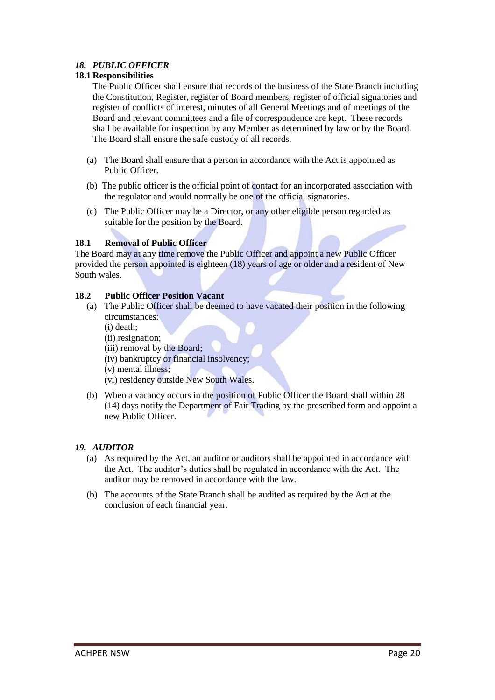# *18. PUBLIC OFFICER*

# **18.1 Responsibilities**

The Public Officer shall ensure that records of the business of the State Branch including the Constitution, Register, register of Board members, register of official signatories and register of conflicts of interest, minutes of all General Meetings and of meetings of the Board and relevant committees and a file of correspondence are kept. These records shall be available for inspection by any Member as determined by law or by the Board. The Board shall ensure the safe custody of all records.

- (a) The Board shall ensure that a person in accordance with the Act is appointed as Public Officer.
- (b) The public officer is the official point of contact for an incorporated association with the regulator and would normally be one of the official signatories.
- (c) The Public Officer may be a Director, or any other eligible person regarded as suitable for the position by the Board.

# **18.1 Removal of Public Officer**

The Board may at any time remove the Public Officer and appoint a new Public Officer provided the person appointed is eighteen (18) years of age or older and a resident of New South wales.

# **18.2 Public Officer Position Vacant**

- (a) The Public Officer shall be deemed to have vacated their position in the following circumstances:
	- (i) death;
	- (ii) resignation;
	- (iii) removal by the Board;
	- (iv) bankruptcy or financial insolvency;
	- (v) mental illness;
	- (vi) residency outside New South Wales.
- (b) When a vacancy occurs in the position of Public Officer the Board shall within 28 (14) days notify the Department of Fair Trading by the prescribed form and appoint a new Public Officer.

# *19. AUDITOR*

- (a) As required by the Act, an auditor or auditors shall be appointed in accordance with the Act. The auditor's duties shall be regulated in accordance with the Act. The auditor may be removed in accordance with the law.
- (b) The accounts of the State Branch shall be audited as required by the Act at the conclusion of each financial year.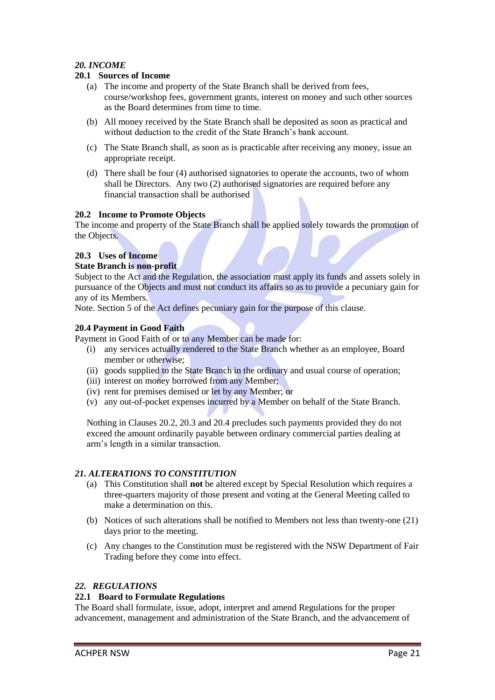# *20. INCOME*

## **20.1 Sources of Income**

- (a) The income and property of the State Branch shall be derived from fees, course/workshop fees, government grants, interest on money and such other sources as the Board determines from time to time.
- (b) All money received by the State Branch shall be deposited as soon as practical and without deduction to the credit of the State Branch's bank account.
- (c) The State Branch shall, as soon as is practicable after receiving any money, issue an appropriate receipt.
- (d) There shall be four (4) authorised signatories to operate the accounts, two of whom shall be Directors. Any two (2) authorised signatories are required before any financial transaction shall be authorised

#### **20.2 Income to Promote Objects**

The income and property of the State Branch shall be applied solely towards the promotion of the Objects.

# **20.3 Uses of Income**

#### **State Branch is non-profit**

Subject to the Act and the Regulation, the association must apply its funds and assets solely in pursuance of the Objects and must not conduct its affairs so as to provide a pecuniary gain for any of its Members.

Note. Section 5 of the Act defines pecuniary gain for the purpose of this clause.

## **20.4 Payment in Good Faith**

Payment in Good Faith of or to any Member can be made for:

- (i) any services actually rendered to the State Branch whether as an employee, Board member or otherwise;
- (ii) goods supplied to the State Branch in the ordinary and usual course of operation;
- (iii) interest on money borrowed from any Member;
- (iv) rent for premises demised or let by any Member; or
- (v) any out-of-pocket expenses incurred by a Member on behalf of the State Branch.

Nothing in Clauses 20.2, 20.3 and 20.4 precludes such payments provided they do not exceed the amount ordinarily payable between ordinary commercial parties dealing at arm's length in a similar transaction.

#### *21. ALTERATIONS TO CONSTITUTION*

- (a) This Constitution shall **not** be altered except by Special Resolution which requires a three-quarters majority of those present and voting at the General Meeting called to make a determination on this.
- (b) Notices of such alterations shall be notified to Members not less than twenty-one (21) days prior to the meeting.
- (c) Any changes to the Constitution must be registered with the NSW Department of Fair Trading before they come into effect.

#### *22. REGULATIONS*

#### **22.1 Board to Formulate Regulations**

The Board shall formulate, issue, adopt, interpret and amend Regulations for the proper advancement, management and administration of the State Branch, and the advancement of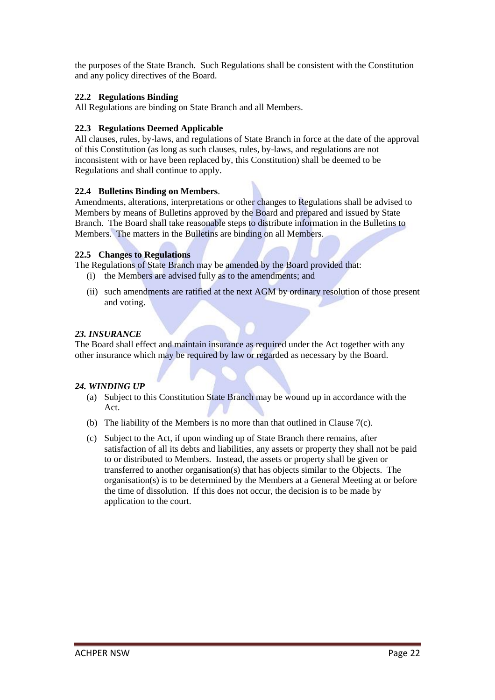the purposes of the State Branch. Such Regulations shall be consistent with the Constitution and any policy directives of the Board.

## **22.2 Regulations Binding**

All Regulations are binding on State Branch and all Members.

## **22.3 Regulations Deemed Applicable**

All clauses, rules, by-laws, and regulations of State Branch in force at the date of the approval of this Constitution (as long as such clauses, rules, by-laws, and regulations are not inconsistent with or have been replaced by, this Constitution) shall be deemed to be Regulations and shall continue to apply.

## **22.4 Bulletins Binding on Members**.

Amendments, alterations, interpretations or other changes to Regulations shall be advised to Members by means of Bulletins approved by the Board and prepared and issued by State Branch. The Board shall take reasonable steps to distribute information in the Bulletins to Members. The matters in the Bulletins are binding on all Members.

#### **22.5 Changes to Regulations**

The Regulations of State Branch may be amended by the Board provided that:

- (i) the Members are advised fully as to the amendments; and
- (ii) such amendments are ratified at the next AGM by ordinary resolution of those present and voting.

## *23. INSURANCE*

The Board shall effect and maintain insurance as required under the Act together with any other insurance which may be required by law or regarded as necessary by the Board.

# *24. WINDING UP*

- (a) Subject to this Constitution State Branch may be wound up in accordance with the Act.
- (b) The liability of the Members is no more than that outlined in Clause 7(c).
- (c) Subject to the Act, if upon winding up of State Branch there remains, after satisfaction of all its debts and liabilities, any assets or property they shall not be paid to or distributed to Members. Instead, the assets or property shall be given or transferred to another organisation(s) that has objects similar to the Objects. The organisation(s) is to be determined by the Members at a General Meeting at or before the time of dissolution. If this does not occur, the decision is to be made by application to the court.